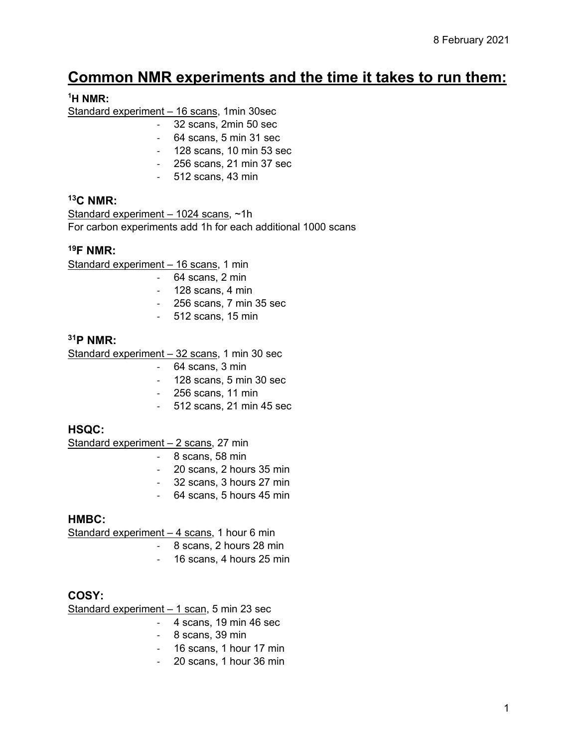# **Common NMR experiments and the time it takes to run them:**

#### **1 H NMR:**

Standard experiment - 16 scans, 1min 30sec

- 32 scans, 2min 50 sec
- 64 scans, 5 min 31 sec
- 128 scans, 10 min 53 sec
- 256 scans, 21 min 37 sec
- 512 scans, 43 min

## **13C NMR:**

Standard experiment - 1024 scans, ~1h For carbon experiments add 1h for each additional 1000 scans

## **19F NMR:**

Standard experiment – 16 scans, 1 min

- 64 scans, 2 min
- 128 scans, 4 min
- 256 scans, 7 min 35 sec
- 512 scans, 15 min

#### **31P NMR:**

Standard experiment – 32 scans, 1 min 30 sec

- 64 scans, 3 min
- 128 scans, 5 min 30 sec
- 256 scans, 11 min
- 512 scans, 21 min 45 sec

# **HSQC:**

Standard experiment – 2 scans, 27 min

- 8 scans, 58 min
- 20 scans, 2 hours 35 min
- 32 scans, 3 hours 27 min
- 64 scans, 5 hours 45 min

#### **HMBC:**

Standard experiment – 4 scans, 1 hour 6 min

- 8 scans, 2 hours 28 min
- 16 scans, 4 hours 25 min

# **COSY:**

Standard experiment – 1 scan, 5 min 23 sec

- 4 scans, 19 min 46 sec
- 8 scans, 39 min
- 16 scans, 1 hour 17 min
- 20 scans, 1 hour 36 min